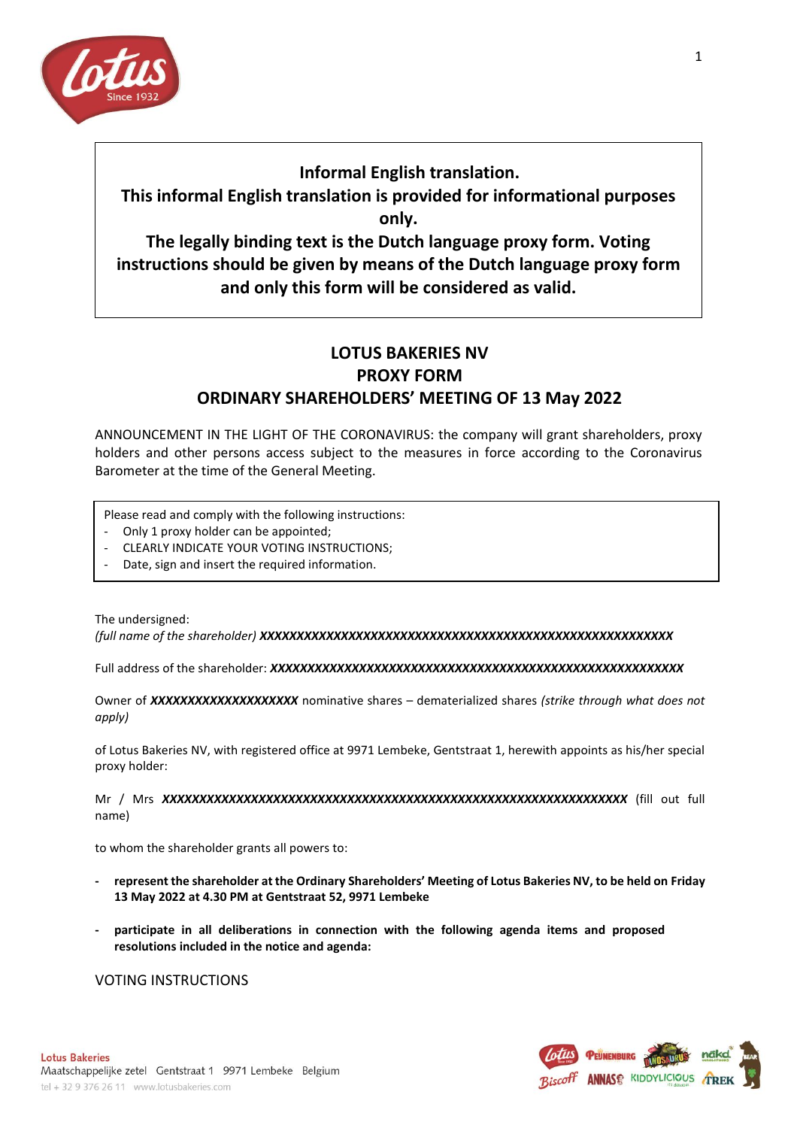

## **Informal English translation.**

# **This informal English translation is provided for informational purposes only.**

**The legally binding text is the Dutch language proxy form. Voting instructions should be given by means of the Dutch language proxy form and only this form will be considered as valid.**

# **LOTUS BAKERIES NV PROXY FORM ORDINARY SHAREHOLDERS' MEETING OF 13 May 2022**

ANNOUNCEMENT IN THE LIGHT OF THE CORONAVIRUS: the company will grant shareholders, proxy holders and other persons access subject to the measures in force according to the Coronavirus Barometer at the time of the General Meeting.

Please read and comply with the following instructions:

- Only 1 proxy holder can be appointed;
- CLEARLY INDICATE YOUR VOTING INSTRUCTIONS;
- Date, sign and insert the required information.

The undersigned:

*(full name of the shareholder) XXXXXXXXXXXXXXXXXXXXXXXXXXXXXXXXXXXXXXXXXXXXXXXXXXXXXXXX*

Full address of the shareholder: *XXXXXXXXXXXXXXXXXXXXXXXXXXXXXXXXXXXXXXXXXXXXXXXXXXXXXXXX*

Owner of *XXXXXXXXXXXXXXXXXXXX* nominative shares – dematerialized shares *(strike through what does not apply)*

of Lotus Bakeries NV, with registered office at 9971 Lembeke, Gentstraat 1, herewith appoints as his/her special proxy holder:

Mr / Mrs *XXXXXXXXXXXXXXXXXXXXXXXXXXXXXXXXXXXXXXXXXXXXXXXXXXXXXXXXXXXXXXX* (fill out full name)

to whom the shareholder grants all powers to:

- **- represent the shareholder at the Ordinary Shareholders' Meeting of Lotus Bakeries NV, to be held on Friday 13 May 2022 at 4.30 PM at Gentstraat 52, 9971 Lembeke**
- **- participate in all deliberations in connection with the following agenda items and proposed resolutions included in the notice and agenda:**

VOTING INSTRUCTIONS

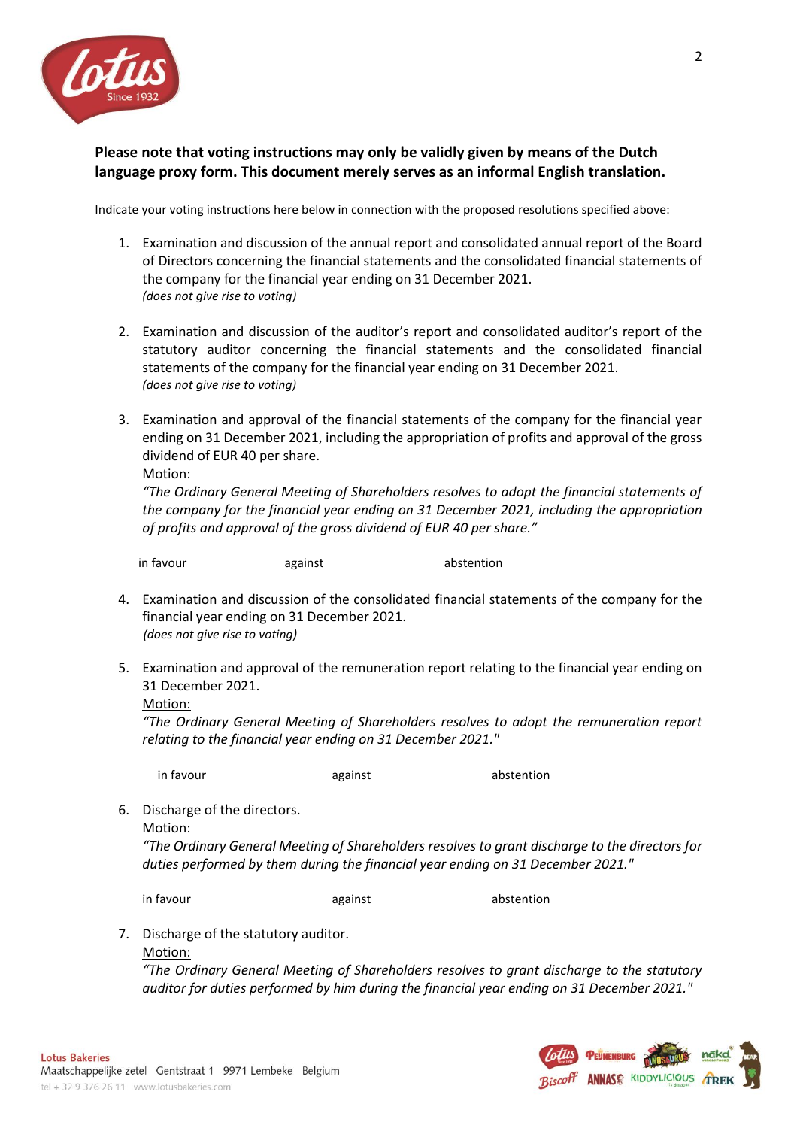

## **Please note that voting instructions may only be validly given by means of the Dutch language proxy form. This document merely serves as an informal English translation.**

Indicate your voting instructions here below in connection with the proposed resolutions specified above:

- 1. Examination and discussion of the annual report and consolidated annual report of the Board of Directors concerning the financial statements and the consolidated financial statements of the company for the financial year ending on 31 December 2021. *(does not give rise to voting)*
- 2. Examination and discussion of the auditor's report and consolidated auditor's report of the statutory auditor concerning the financial statements and the consolidated financial statements of the company for the financial year ending on 31 December 2021. *(does not give rise to voting)*
- 3. Examination and approval of the financial statements of the company for the financial year ending on 31 December 2021, including the appropriation of profits and approval of the gross dividend of EUR 40 per share.

Motion:

*"The Ordinary General Meeting of Shareholders resolves to adopt the financial statements of the company for the financial year ending on 31 December 2021, including the appropriation of profits and approval of the gross dividend of EUR 40 per share."* 

in favour against abstention

- 4. Examination and discussion of the consolidated financial statements of the company for the financial year ending on 31 December 2021. *(does not give rise to voting)*
- 5. Examination and approval of the remuneration report relating to the financial year ending on 31 December 2021.

Motion:

*"The Ordinary General Meeting of Shareholders resolves to adopt the remuneration report relating to the financial year ending on 31 December 2021."*

in favour against abstention

6. Discharge of the directors.

Motion:

*"The Ordinary General Meeting of Shareholders resolves to grant discharge to the directors for duties performed by them during the financial year ending on 31 December 2021."*

in favour against abstention

7. Discharge of the statutory auditor.

Motion:

*"The Ordinary General Meeting of Shareholders resolves to grant discharge to the statutory auditor for duties performed by him during the financial year ending on 31 December 2021."*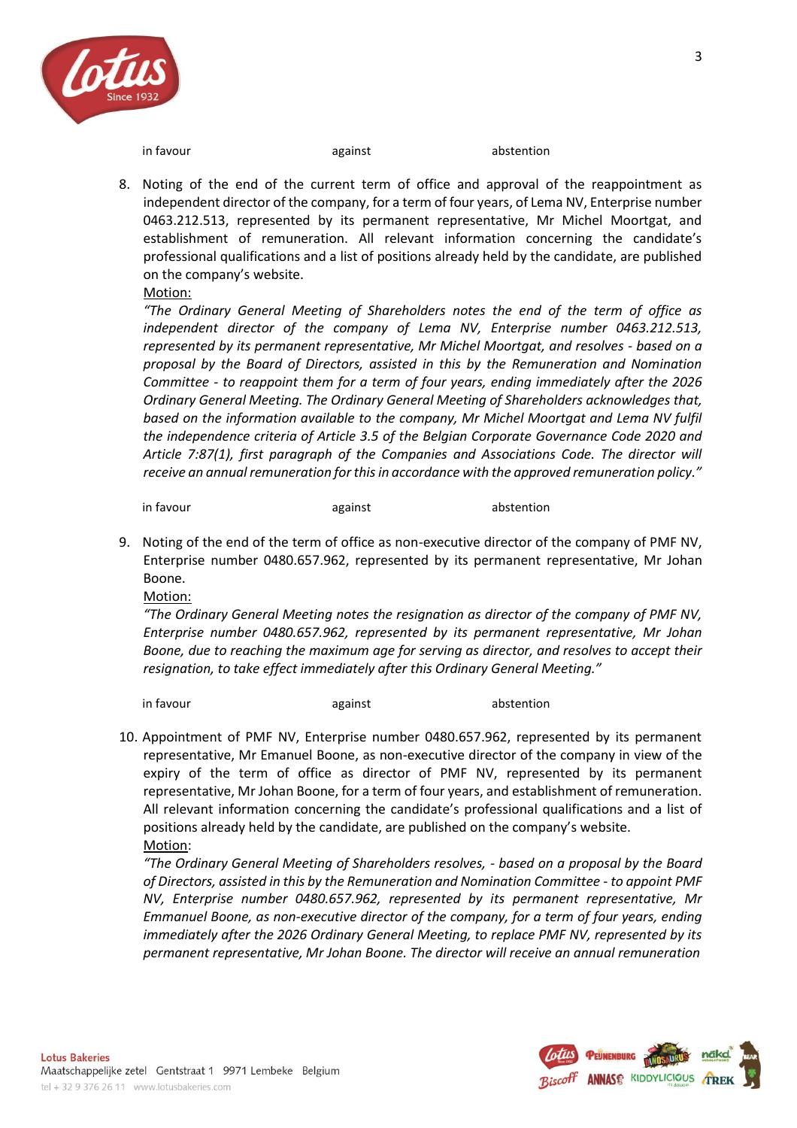

in favour against abstention

8. Noting of the end of the current term of office and approval of the reappointment as independent director of the company, for a term of four years, of Lema NV, Enterprise number 0463.212.513, represented by its permanent representative, Mr Michel Moortgat, and establishment of remuneration. All relevant information concerning the candidate's professional qualifications and a list of positions already held by the candidate, are published on the company's website.

Motion:

*"The Ordinary General Meeting of Shareholders notes the end of the term of office as independent director of the company of Lema NV, Enterprise number 0463.212.513, represented by its permanent representative, Mr Michel Moortgat, and resolves - based on a proposal by the Board of Directors, assisted in this by the Remuneration and Nomination Committee - to reappoint them for a term of four years, ending immediately after the 2026 Ordinary General Meeting. The Ordinary General Meeting of Shareholders acknowledges that,*  based on the information available to the company, Mr Michel Moortgat and Lema NV fulfil *the independence criteria of Article 3.5 of the Belgian Corporate Governance Code 2020 and Article 7:87(1), first paragraph of the Companies and Associations Code. The director will receive an annual remuneration for this in accordance with the approved remuneration policy."*

in favour against abstention

9. Noting of the end of the term of office as non-executive director of the company of PMF NV, Enterprise number 0480.657.962, represented by its permanent representative, Mr Johan Boone.

Motion:

*"The Ordinary General Meeting notes the resignation as director of the company of PMF NV, Enterprise number 0480.657.962, represented by its permanent representative, Mr Johan Boone, due to reaching the maximum age for serving as director, and resolves to accept their resignation, to take effect immediately after this Ordinary General Meeting."*

in favour against abstention

10. Appointment of PMF NV, Enterprise number 0480.657.962, represented by its permanent representative, Mr Emanuel Boone, as non-executive director of the company in view of the expiry of the term of office as director of PMF NV, represented by its permanent representative, Mr Johan Boone, for a term of four years, and establishment of remuneration. All relevant information concerning the candidate's professional qualifications and a list of positions already held by the candidate, are published on the company's website. Motion:

*"The Ordinary General Meeting of Shareholders resolves, - based on a proposal by the Board of Directors, assisted in this by the Remuneration and Nomination Committee - to appoint PMF NV, Enterprise number 0480.657.962, represented by its permanent representative, Mr Emmanuel Boone, as non-executive director of the company, for a term of four years, ending immediately after the 2026 Ordinary General Meeting, to replace PMF NV, represented by its permanent representative, Mr Johan Boone. The director will receive an annual remuneration* 

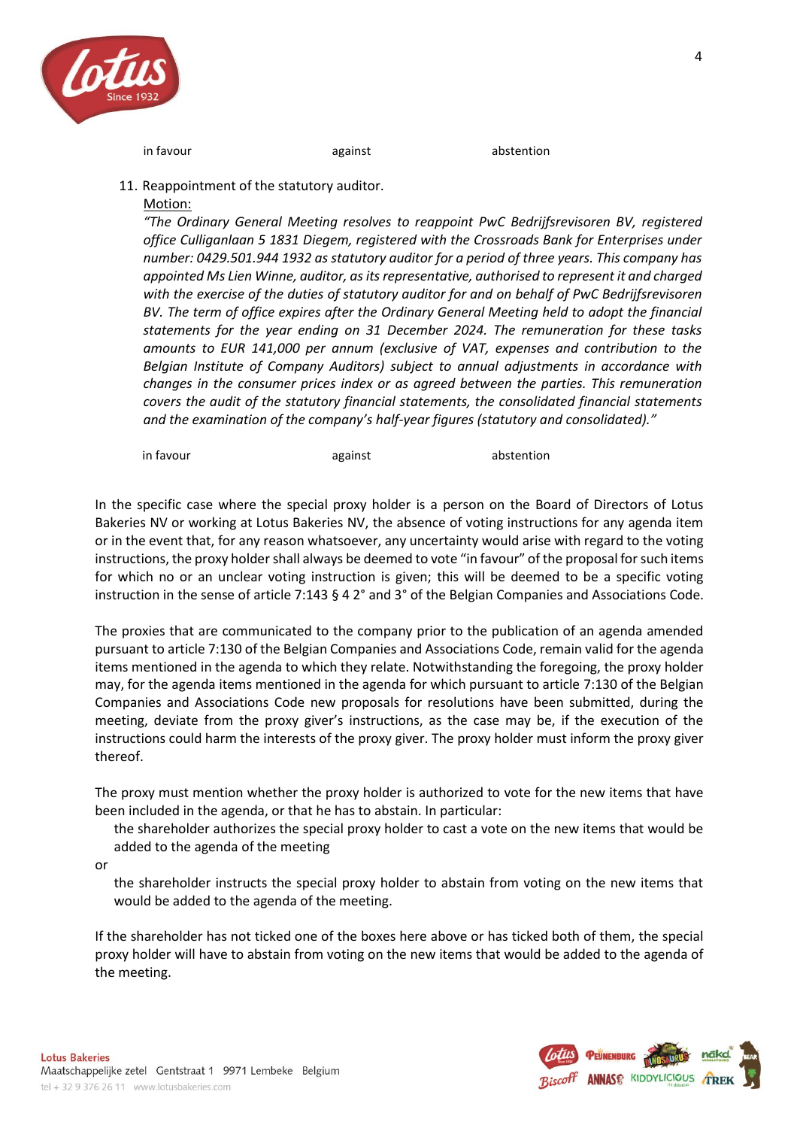

in favour and the second contract abstention abstention abstention

### 11. Reappointment of the statutory auditor.

### Motion:

*"The Ordinary General Meeting resolves to reappoint PwC Bedrijfsrevisoren BV, registered office Culliganlaan 5 1831 Diegem, registered with the Crossroads Bank for Enterprises under number: 0429.501.944 1932 as statutory auditor for a period of three years. This company has appointed Ms Lien Winne, auditor, as its representative, authorised to represent it and charged with the exercise of the duties of statutory auditor for and on behalf of PwC Bedrijfsrevisoren*  BV. The term of office expires after the Ordinary General Meeting held to adopt the financial *statements for the year ending on 31 December 2024. The remuneration for these tasks amounts to EUR 141,000 per annum (exclusive of VAT, expenses and contribution to the Belgian Institute of Company Auditors) subject to annual adjustments in accordance with changes in the consumer prices index or as agreed between the parties. This remuneration covers the audit of the statutory financial statements, the consolidated financial statements and the examination of the company's half-year figures (statutory and consolidated)."*

in favour and the second contract abstention abstention abstention

In the specific case where the special proxy holder is a person on the Board of Directors of Lotus Bakeries NV or working at Lotus Bakeries NV, the absence of voting instructions for any agenda item or in the event that, for any reason whatsoever, any uncertainty would arise with regard to the voting instructions, the proxy holder shall always be deemed to vote "in favour" of the proposal for such items for which no or an unclear voting instruction is given; this will be deemed to be a specific voting instruction in the sense of article 7:143 § 4 2° and 3° of the Belgian Companies and Associations Code.

The proxies that are communicated to the company prior to the publication of an agenda amended pursuant to article 7:130 of the Belgian Companies and Associations Code, remain valid for the agenda items mentioned in the agenda to which they relate. Notwithstanding the foregoing, the proxy holder may, for the agenda items mentioned in the agenda for which pursuant to article 7:130 of the Belgian Companies and Associations Code new proposals for resolutions have been submitted, during the meeting, deviate from the proxy giver's instructions, as the case may be, if the execution of the instructions could harm the interests of the proxy giver. The proxy holder must inform the proxy giver thereof.

The proxy must mention whether the proxy holder is authorized to vote for the new items that have been included in the agenda, or that he has to abstain. In particular:

the shareholder authorizes the special proxy holder to cast a vote on the new items that would be added to the agenda of the meeting

or

the shareholder instructs the special proxy holder to abstain from voting on the new items that would be added to the agenda of the meeting.

If the shareholder has not ticked one of the boxes here above or has ticked both of them, the special proxy holder will have to abstain from voting on the new items that would be added to the agenda of the meeting.